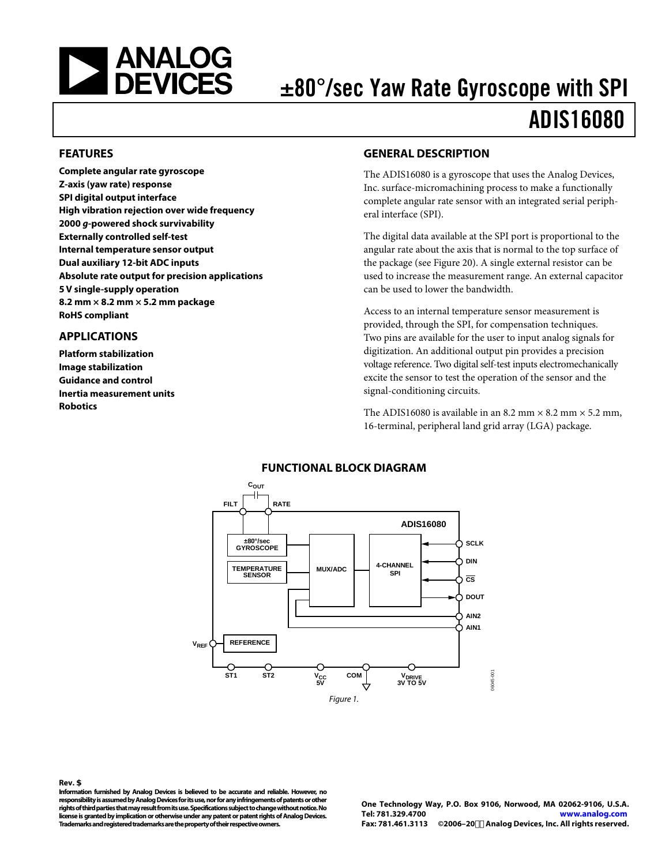<span id="page-0-0"></span>

# ±80°/sec Yaw Rate Gyroscope with SPI

# ADIS16080

#### **FEATURES**

**Complete angular rate gyroscope Z-axis (yaw rate) response SPI digital output interface High vibration rejection over wide frequency 2000 g-powered shock survivability Externally controlled self-test Internal temperature sensor output Dual auxiliary 12-bit ADC inputs Absolute rate output for precision applications 5 V single-supply operation 8.2 mm × 8.2 mm × 5.2 mm package RoHS compliant** 

### **APPLICATIONS**

**Platform stabilization Image stabilization Guidance and control Inertia measurement units Robotics** 

### **GENERAL DESCRIPTION**

The ADIS16080 is a gyroscope that uses the Analog Devices, Inc. surface-micromachining process to make a functionally complete angular rate sensor with an integrated serial peripheral interface (SPI).

The digital data available at the SPI port is proportional to the angular rate about the axis that is normal to the top surface of the package (see [Figure 20](#page-10-0)). A single external resistor can be used to increase the measurement range. An external capacitor can be used to lower the bandwidth.

Access to an internal temperature sensor measurement is provided, through the SPI, for compensation techniques. Two pins are available for the user to input analog signals for digitization. An additional output pin provides a precision voltage reference. Two digital self-test inputs electromechanically excite the sensor to test the operation of the sensor and the signal-conditioning circuits.

The ADIS16080 is available in an 8.2 mm  $\times$  8.2 mm  $\times$  5.2 mm, 16-terminal, peripheral land grid array (LGA) package.



### **FUNCTIONAL BLOCK DIAGRAM**

**Rev. \$**

Information furnished by Analog Devices is believed to be accurate and reliable. However, no **responsibility is assumed by Analog Devices for it s use, nor for any infringements of patents or other rights of third parties that may result from its use. Specifications subject to change without notice. No license is granted by implication or otherwise un der any patent or patent rights of Analog Devices. Trademarks and registered trademarks are the p roperty of their respective owners.** 

One Technology Way, P.O. Box 9106, Norwood, MA 02062-9106, U.S.A. **www.analog.com** Fax: 781.461.3113 ©2006-20#" Analog Devices, Inc. All rights reserved. **Tel: 781.329.4700**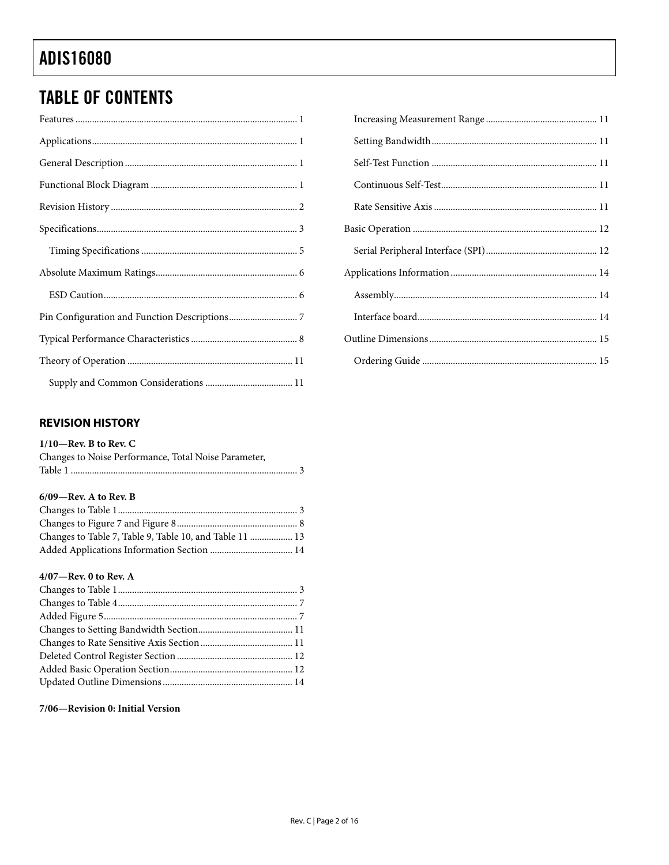# <span id="page-1-0"></span>**TABLE OF CONTENTS**

# 

### <span id="page-1-9"></span><span id="page-1-8"></span><span id="page-1-7"></span><span id="page-1-6"></span><span id="page-1-5"></span><span id="page-1-4"></span><span id="page-1-3"></span><span id="page-1-2"></span><span id="page-1-1"></span>**REVISION HISTORY**

#### $1/10$ -Rev. B to Rev. C

| Changes to Noise Performance, Total Noise Parameter, |  |
|------------------------------------------------------|--|
|                                                      |  |

#### $6/09$ -Rev. A to Rev. B

| Changes to Table 7, Table 9, Table 10, and Table 11  13 |  |
|---------------------------------------------------------|--|
|                                                         |  |

#### 4/07-Rev. 0 to Rev. A

#### 7/06-Revision 0: Initial Version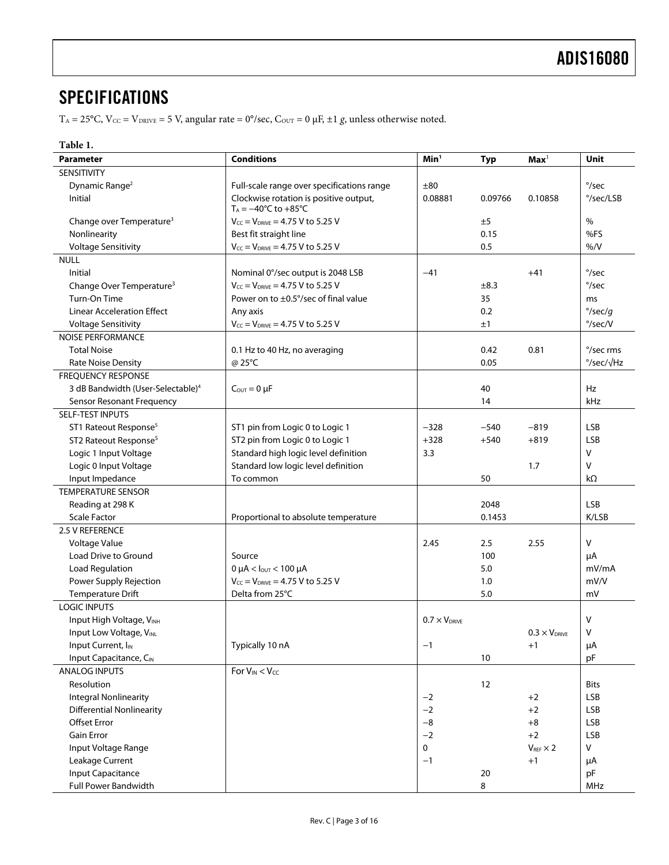# <span id="page-2-0"></span>**SPECIFICATIONS**

 $T_A = 25^{\circ}$ C,  $V_{CC} = V_{DRIVE} = 5$  V, angular rate = 0°/sec,  $C_{OUT} = 0$  µF, ±1 *g*, unless otherwise noted.

#### **Table 1.**

| <b>Parameter</b>                              | <b>Conditions</b>                                                                | Min <sup>1</sup>       | <b>Typ</b> | $\mathbf{Max}^1$       | <b>Unit</b>                 |
|-----------------------------------------------|----------------------------------------------------------------------------------|------------------------|------------|------------------------|-----------------------------|
| <b>SENSITIVITY</b>                            |                                                                                  |                        |            |                        |                             |
| Dynamic Range <sup>2</sup>                    | Full-scale range over specifications range                                       | ±80                    |            |                        | $\degree$ /sec              |
| Initial                                       | Clockwise rotation is positive output,<br>$T_A = -40^{\circ}C$ to $+85^{\circ}C$ | 0.08881                | 0.09766    | 0.10858                | °/sec/LSB                   |
| Change over Temperature <sup>3</sup>          | $V_{CC} = V_{DRIVE} = 4.75 V$ to 5.25 V                                          |                        | ±5         |                        | $\%$                        |
| Nonlinearity                                  | Best fit straight line                                                           |                        | 0.15       |                        | %FS                         |
| <b>Voltage Sensitivity</b>                    | $V_{CC} = V_{DRIVE} = 4.75 V$ to 5.25 V                                          |                        | 0.5        |                        | % /V                        |
| <b>NULL</b>                                   |                                                                                  |                        |            |                        |                             |
| Initial                                       | Nominal 0°/sec output is 2048 LSB                                                | $-41$                  |            | $+41$                  | $\degree$ /sec              |
| Change Over Temperature <sup>3</sup>          | $V_{CC} = V_{DRIVE} = 4.75$ V to 5.25 V                                          |                        | $\pm 8.3$  |                        | $\degree$ /sec              |
| Turn-On Time                                  | Power on to $\pm$ 0.5°/sec of final value                                        |                        | 35         |                        | ms                          |
| <b>Linear Acceleration Effect</b>             | Any axis                                                                         |                        | 0.2        |                        | $\degree$ /sec/g            |
| <b>Voltage Sensitivity</b>                    | $V_{CC} = V_{DRIVE} = 4.75 V$ to 5.25 V                                          |                        | ±1         |                        | $\degree$ /sec/V            |
| <b>NOISE PERFORMANCE</b>                      |                                                                                  |                        |            |                        |                             |
| <b>Total Noise</b>                            | 0.1 Hz to 40 Hz, no averaging                                                    |                        | 0.42       | 0.81                   | °/sec rms                   |
| <b>Rate Noise Density</b>                     | @ 25°C                                                                           |                        | 0.05       |                        | $\degree$ /sec/ $\sqrt{Hz}$ |
| <b>FREQUENCY RESPONSE</b>                     |                                                                                  |                        |            |                        |                             |
| 3 dB Bandwidth (User-Selectable) <sup>4</sup> | $C_{OUT} = 0 \mu F$                                                              |                        | 40         |                        | Hz                          |
| Sensor Resonant Frequency                     |                                                                                  |                        | 14         |                        | kHz                         |
| <b>SELF-TEST INPUTS</b>                       |                                                                                  |                        |            |                        |                             |
| ST1 Rateout Response <sup>5</sup>             | ST1 pin from Logic 0 to Logic 1                                                  | $-328$                 | $-540$     | $-819$                 | <b>LSB</b>                  |
| ST2 Rateout Response <sup>5</sup>             | ST2 pin from Logic 0 to Logic 1                                                  | $+328$                 | $+540$     | $+819$                 | <b>LSB</b>                  |
| Logic 1 Input Voltage                         | Standard high logic level definition                                             | 3.3                    |            |                        | $\vee$                      |
| Logic 0 Input Voltage                         | Standard low logic level definition                                              |                        |            | 1.7                    | v                           |
| Input Impedance                               | To common                                                                        |                        | 50         |                        | $k\Omega$                   |
| <b>TEMPERATURE SENSOR</b>                     |                                                                                  |                        |            |                        |                             |
| Reading at 298 K                              |                                                                                  |                        | 2048       |                        | <b>LSB</b>                  |
| <b>Scale Factor</b>                           | Proportional to absolute temperature                                             |                        | 0.1453     |                        | K/LSB                       |
| 2.5 V REFERENCE                               |                                                                                  |                        |            |                        |                             |
| Voltage Value                                 |                                                                                  | 2.45                   | 2.5        | 2.55                   | v                           |
| Load Drive to Ground                          | Source                                                                           |                        | 100        |                        | μA                          |
| Load Regulation                               | $0 \mu A <$ $_{\text{OUT}}$ < 100 $\mu A$                                        |                        | 5.0        |                        | mV/mA                       |
| Power Supply Rejection                        | $V_{CC} = V_{DRIVE} = 4.75$ V to 5.25 V                                          |                        | 1.0        |                        | mV/V                        |
| <b>Temperature Drift</b>                      | Delta from 25°C                                                                  |                        | 5.0        |                        | mV                          |
| <b>LOGIC INPUTS</b>                           |                                                                                  |                        |            |                        |                             |
| Input High Voltage, VINH                      |                                                                                  | $0.7 \times V_{DRIVE}$ |            |                        | v                           |
| Input Low Voltage, VINL                       |                                                                                  |                        |            | $0.3 \times V_{DRIVE}$ | v                           |
| Input Current, I <sub>IN</sub>                | Typically 10 nA                                                                  | $-1$                   |            | $+1$                   | μA                          |
| Input Capacitance, CIN                        |                                                                                  |                        | 10         |                        | pF                          |
| ANALOG INPUTS                                 | For $V_{IN} < V_{CC}$                                                            |                        |            |                        |                             |
| Resolution                                    |                                                                                  |                        | 12         |                        | <b>Bits</b>                 |
| <b>Integral Nonlinearity</b>                  |                                                                                  | $-2$                   |            | $+2$                   | <b>LSB</b>                  |
| <b>Differential Nonlinearity</b>              |                                                                                  | $-2$                   |            | $+2$                   | <b>LSB</b>                  |
| <b>Offset Error</b>                           |                                                                                  | $-8$                   |            | $+8$                   | <b>LSB</b>                  |
| <b>Gain Error</b>                             |                                                                                  | $-2$                   |            | $+2$                   | <b>LSB</b>                  |
| Input Voltage Range                           |                                                                                  | 0                      |            | $V_{REF} \times 2$     | V                           |
| Leakage Current                               |                                                                                  | $-1$                   |            | $+1$                   | μA                          |
| <b>Input Capacitance</b>                      |                                                                                  |                        | 20         |                        | pF                          |
| Full Power Bandwidth                          |                                                                                  |                        | 8          |                        | MHz                         |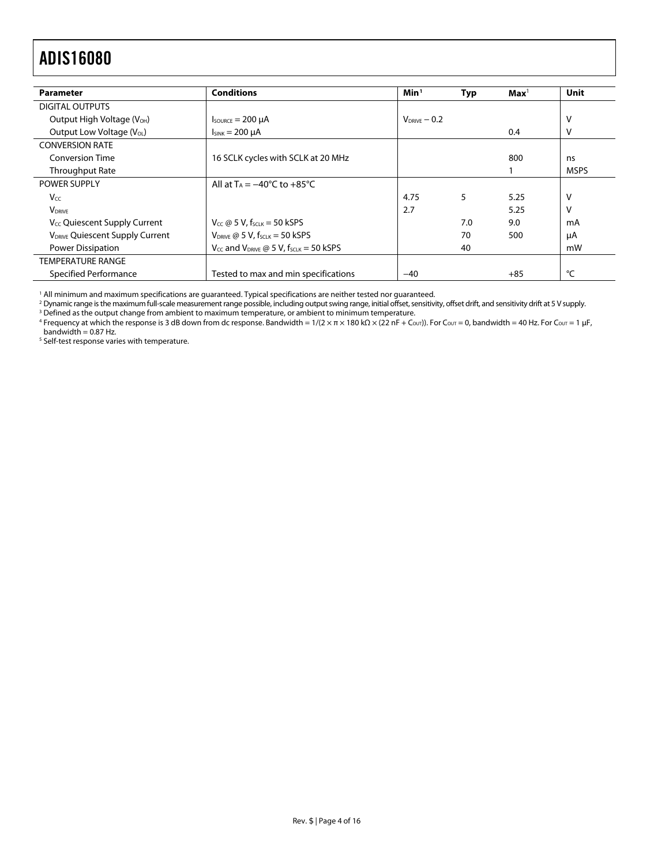<span id="page-3-3"></span><span id="page-3-0"></span>

| <b>Parameter</b>                                                                   | <b>Conditions</b>                                    | Min <sup>1</sup>  | <b>Typ</b> | $\mathbf{Max}^1$ | Unit        |
|------------------------------------------------------------------------------------|------------------------------------------------------|-------------------|------------|------------------|-------------|
| DIGITAL OUTPUTS                                                                    |                                                      |                   |            |                  |             |
| Output High Voltage (V <sub>OH</sub> )                                             | $I_{\text{SOWRCE}} = 200 \mu A$                      | $V_{DRIVE} - 0.2$ |            |                  | ٧           |
| Output Low Voltage (V <sub>oL</sub> )                                              | $I_{SINK}$ = 200 $\mu$ A                             |                   |            | 0.4              | ٧           |
| <b>CONVERSION RATE</b>                                                             |                                                      |                   |            |                  |             |
| <b>Conversion Time</b><br>16 SCLK cycles with SCLK at 20 MHz                       |                                                      |                   | 800        | ns               |             |
| Throughput Rate                                                                    |                                                      |                   |            |                  | <b>MSPS</b> |
| <b>POWER SUPPLY</b>                                                                | All at $T_A = -40^{\circ}$ C to $+85^{\circ}$ C      |                   |            |                  |             |
| Vcc                                                                                |                                                      | 4.75              | 5          | 5.25             | ν           |
| <b>V</b> <sub>DRIVE</sub>                                                          |                                                      | 2.7               |            | 5.25             | ν           |
| V <sub>CC</sub> Quiescent Supply Current                                           | $V_{cc}$ @ 5 V, fscik = 50 kSPS                      |                   | 7.0        | 9.0              | mA          |
| <b>VDRIVE Quiescent Supply Current</b><br>$V_{DRIVE}$ @ 5 V, $f_{SCI K}$ = 50 kSPS |                                                      |                   | 70         | 500              | μA          |
| Power Dissipation                                                                  | $V_{CC}$ and $V_{DRIVE}$ @ 5 V, $f_{SCLK}$ = 50 kSPS |                   | 40         |                  | mW          |
| <b>TEMPERATURE RANGE</b>                                                           |                                                      |                   |            |                  |             |
| Specified Performance                                                              | Tested to max and min specifications                 | $-40$             |            | $+85$            | °C          |

<span id="page-3-1"></span><sup>1</sup> All minimum and maximum specifications are guaranteed. Typical specifications are neither tested nor guaranteed.<br><sup>2</sup> Dynamic range is the maximum full-scale measurement range possible, including output swing range, ini

<sup>2</sup> Dynamic range is the maximum full-scale measurement range possible, including output swing range, initial offset, sensitivity, offset drift, and sensitivity drift at 5 V supply.<br><sup>3</sup> Defined as the output change from am

 $^3$  Defined as the output change from ambient to maximum temperature, or ambient to minimum temperature.<br>4 Frequency at which the response is 3 dB down from dc response. Bandwidth = 1/(2 × π × 180 kO × (22 nF + Co

<sup>4</sup> Frequency at which the response is 3 dB down from dc response. Bandwidth = 1/(2 × π × 180 kΩ × (22 nF + C<sub>OUT</sub>)). For C<sub>OUT</sub> = 0, bandwidth = 40 Hz. For C<sub>OUT</sub> = 1 μF, bandwidth =  $0.87$  Hz.

<span id="page-3-2"></span><sup>5</sup> Self-test response varies with temperature.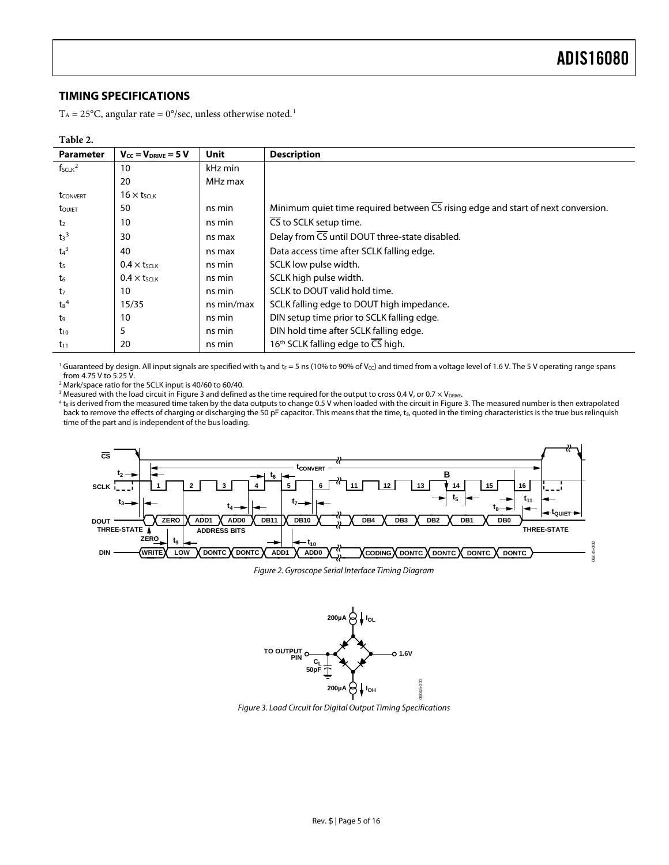### <span id="page-4-0"></span>**TIMING SPECIFICATIONS**

 $T_A = 25^{\circ}$ C, angular rate = 0°/sec, unless otherwise noted.<sup>[1](#page-1-6)</sup>

#### **Table 2.**

<span id="page-4-3"></span><span id="page-4-1"></span>

| <b>Parameter</b>   | $V_{CC} = V_{DRIVE} = 5 V$     | <b>Unit</b> | <b>Description</b>                                                               |
|--------------------|--------------------------------|-------------|----------------------------------------------------------------------------------|
| $f_{SCLK}^2$       | 10                             | kHz min     |                                                                                  |
|                    | 20                             | MHz max     |                                                                                  |
| <b>t</b> CONVERT   | $16 \times t$ SCLK             |             |                                                                                  |
| tQUIET             | 50                             | ns min      | Minimum quiet time required between CS rising edge and start of next conversion. |
| t <sub>2</sub>     | 10                             | ns min      | $\overline{\mathsf{CS}}$ to SCLK setup time.                                     |
| $t_3^3$            | 30                             | ns max      | Delay from $\overline{\text{CS}}$ until DOUT three-state disabled.               |
| $t_4$ <sup>3</sup> | 40                             | ns max      | Data access time after SCLK falling edge.                                        |
| t <sub>5</sub>     | $0.4 \times t$ SCLK            | ns min      | SCLK low pulse width.                                                            |
| $t_6$              | $0.4 \times t$ <sub>SCLK</sub> | ns min      | SCLK high pulse width.                                                           |
| t <sub>7</sub>     | 10                             | ns min      | SCLK to DOUT valid hold time.                                                    |
| $t_8{}^4$          | 15/35                          | ns min/max  | SCLK falling edge to DOUT high impedance.                                        |
| t9                 | 10                             | ns min      | DIN setup time prior to SCLK falling edge.                                       |
| $t_{10}$           | 5                              | ns min      | DIN hold time after SCLK falling edge.                                           |
| $t_{11}$           | 20                             | ns min      | 16 <sup>th</sup> SCLK falling edge to CS high.                                   |

<sup>1</sup> Guaranteed by design. All input signals are specified with t<sub>R</sub> and t<sub>F</sub> = 5 ns (10% to 90% of Vcc) and timed from a voltage level of 1.6 V. The 5 V operating range spans from 4.75 V to 5.25 V.

<sup>2</sup> Mark/space ratio for the SCLK input is 40/60 to 60/40.<br><sup>3</sup> Measured with the load circuit in Figure 3 and defined

<sup>3</sup> Measured with the load circuit in Figure 3 and defined as the time required for the output to cross 0.4 V, or 0.7  $\times$  V<sub>DRIVE</sub>.

 $4t_8$  is derived from the measured time taken by the data outputs to change 0.5 V when loaded with the circuit in Figure 3. The measured number is then extrapolated back to remove the effects of charging or discharging the 50 pF capacitor. This means that the time, t<sub>8</sub>, quoted in the timing characteristics is the true bus relinquish time of the part and is independent of the bus loading.

<span id="page-4-2"></span>

Figure 2. Gyroscope Serial Interface Timing Diagram



Figure 3. Load Circuit for Digital Output Timing Specifications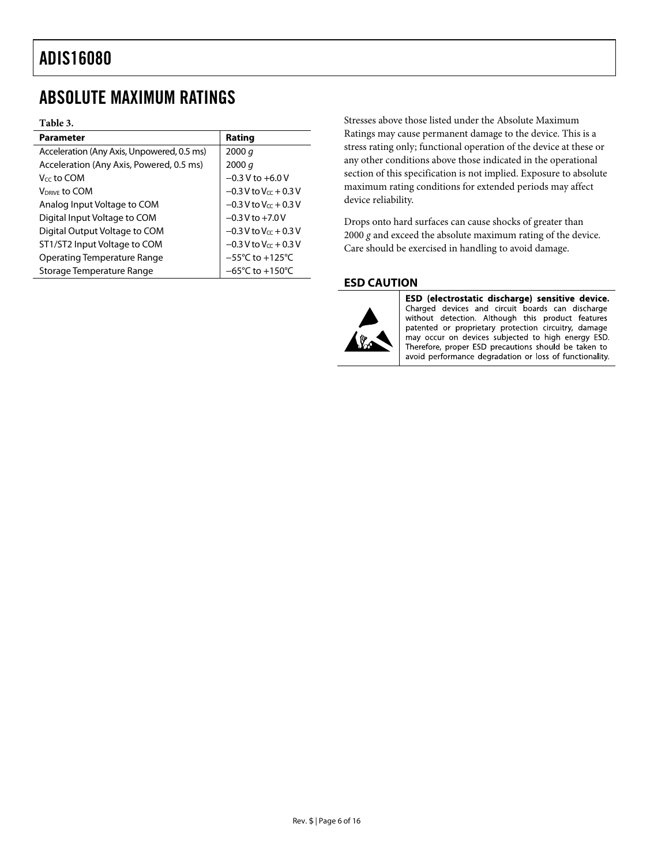# <span id="page-5-0"></span>ABSOLUTE MAXIMUM RATINGS

#### **Table 3.**

| Parameter                                  | Rating                               |
|--------------------------------------------|--------------------------------------|
| Acceleration (Any Axis, Unpowered, 0.5 ms) | 2000 q                               |
| Acceleration (Any Axis, Powered, 0.5 ms)   | 2000 q                               |
| V <sub>cc</sub> to COM                     | $-0.3$ V to $+6.0$ V                 |
| <b>VDRIVE to COM</b>                       | $-0.3$ V to V $c$ + 0.3 V            |
| Analog Input Voltage to COM                | $-0.3$ V to V $c$ + 0.3 V            |
| Digital Input Voltage to COM               | $-0.3$ V to $+7.0$ V                 |
| Digital Output Voltage to COM              | $-0.3$ V to V <sub>cc</sub> + 0.3 V  |
| ST1/ST2 Input Voltage to COM               | $-0.3$ V to V $cc + 0.3$ V           |
| <b>Operating Temperature Range</b>         | $-55^{\circ}$ C to $+125^{\circ}$ C  |
| Storage Temperature Range                  | $-65^{\circ}$ C to +150 $^{\circ}$ C |

Stresses above those listed under the Absolute Maximum Ratings may cause permanent damage to the device. This is a stress rating only; functional operation of the device at these or any other conditions above those indicated in the operational section of this specification is not implied. Exposure to absolute maximum rating conditions for extended periods may affect device reliability.

Drops onto hard surfaces can cause shocks of greater than 2000 *g* and exceed the absolute maximum rating of the device. Care should be exercised in handling to avoid damage.

### **ESD CAUTION**



ESD (electrostatic discharge) sensitive device. Charged devices and circuit boards can discharge without detection. Although this product features patented or proprietary protection circuitry, damage may occur on devices subjected to high energy ESD. Therefore, proper ESD precautions should be taken to avoid performance degradation or loss of functionality.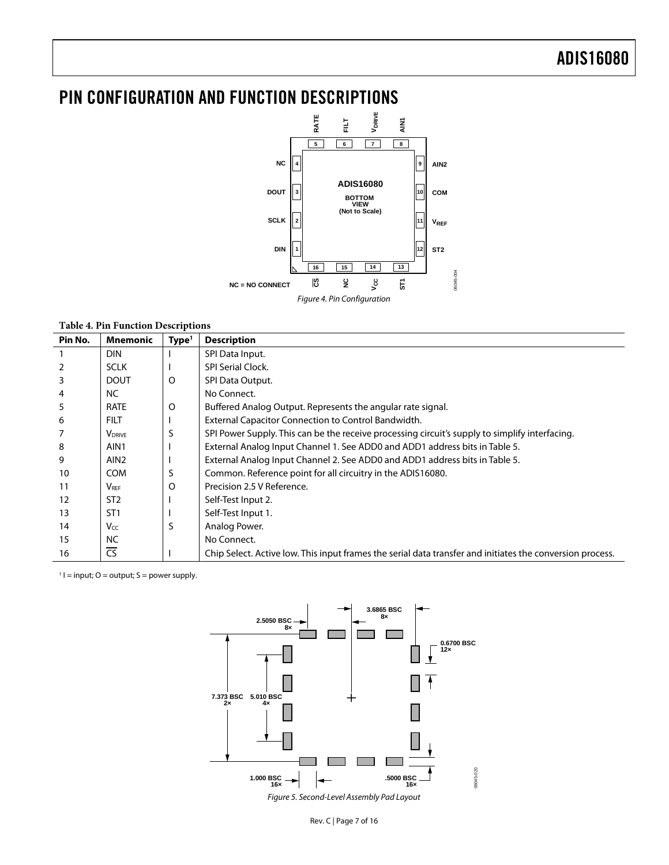# <span id="page-6-1"></span><span id="page-6-0"></span>PIN CONFIGURATION AND FUNCTION DESCRIPTIONS



**Table 4. Pin Function Descriptions** 

| Pin No. | Mnemonic         | Type <sup>1</sup> | <b>Description</b>                                                                                        |
|---------|------------------|-------------------|-----------------------------------------------------------------------------------------------------------|
|         | <b>DIN</b>       |                   | SPI Data Input.                                                                                           |
| 2       | <b>SCLK</b>      |                   | <b>SPI Serial Clock.</b>                                                                                  |
| 3       | <b>DOUT</b>      | O                 | SPI Data Output.                                                                                          |
| 4       | NC.              |                   | No Connect.                                                                                               |
| 5       | <b>RATE</b>      | O                 | Buffered Analog Output. Represents the angular rate signal.                                               |
| 6       | <b>FILT</b>      |                   | External Capacitor Connection to Control Bandwidth.                                                       |
|         | <b>V</b> DRIVE   | S                 | SPI Power Supply. This can be the receive processing circuit's supply to simplify interfacing.            |
| 8       | AIN1             |                   | External Analog Input Channel 1. See ADD0 and ADD1 address bits in Table 5.                               |
| 9       | AIN <sub>2</sub> |                   | External Analog Input Channel 2. See ADD0 and ADD1 address bits in Table 5.                               |
| 10      | <b>COM</b>       | S                 | Common. Reference point for all circuitry in the ADIS16080.                                               |
| 11      | $V_{\text{REF}}$ | O                 | Precision 2.5 V Reference.                                                                                |
| 12      | ST <sub>2</sub>  |                   | Self-Test Input 2.                                                                                        |
| 13      | ST <sub>1</sub>  |                   | Self-Test Input 1.                                                                                        |
| 14      | Vcc              | S                 | Analog Power.                                                                                             |
| 15      | <b>NC</b>        |                   | No Connect.                                                                                               |
| 16      | $\overline{CS}$  |                   | Chip Select. Active low. This input frames the serial data transfer and initiates the conversion process. |

 $1 =$  input; O = output; S = power supply.

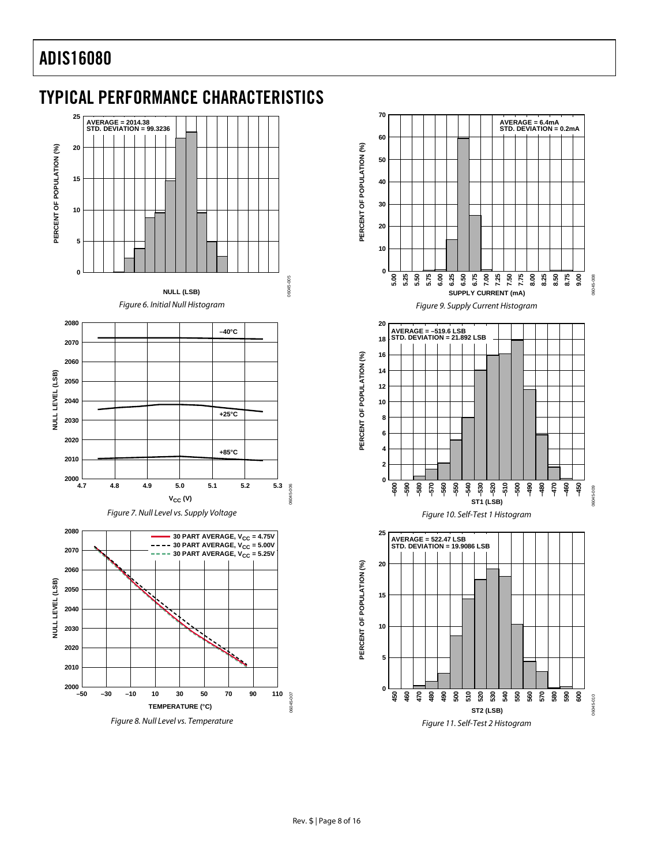# <span id="page-7-0"></span>TYPICAL PERFORMANCE CHARACTERISTICS



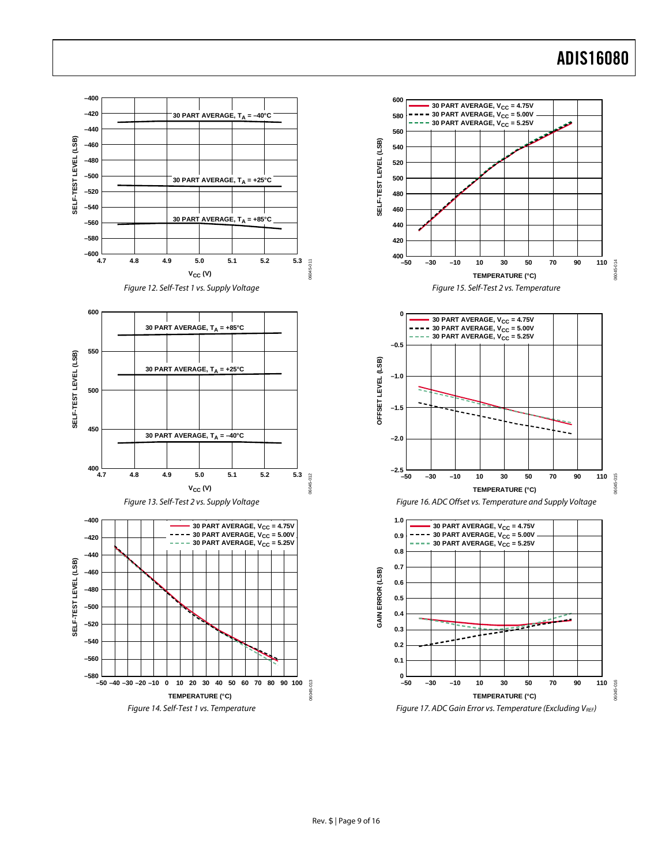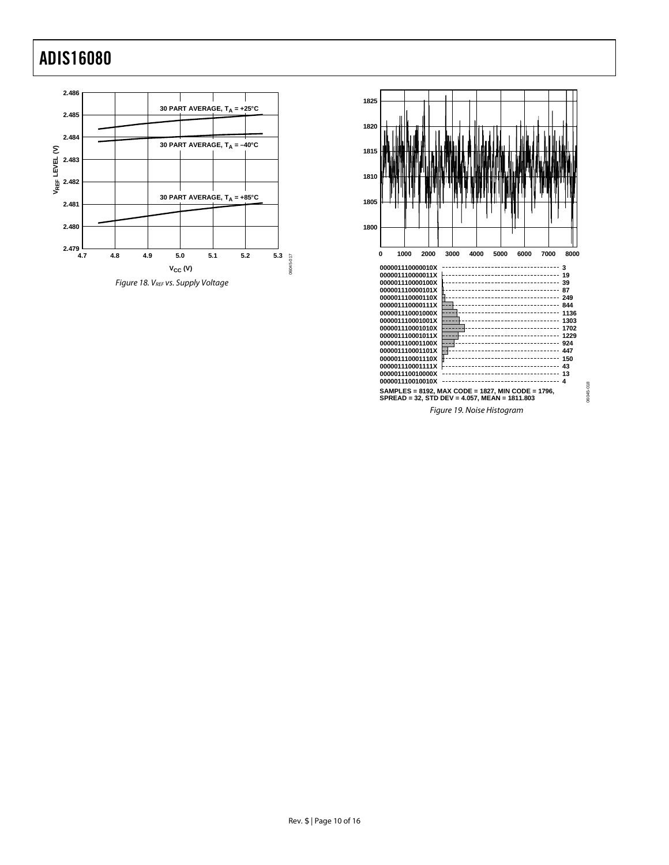

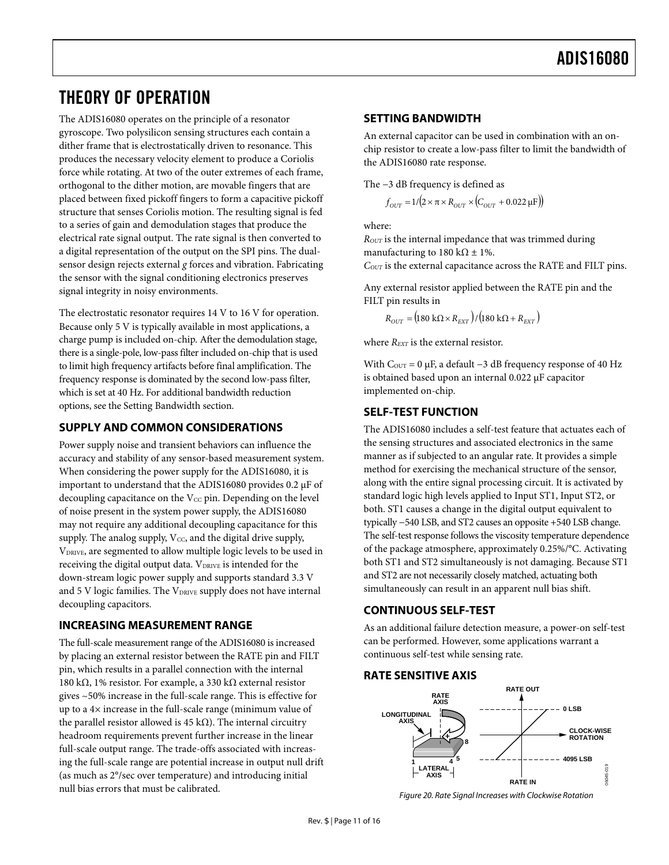### <span id="page-10-1"></span>THEORY OF OPERATION

<span id="page-10-2"></span>The ADIS16080 operates on the principle of a resonator gyroscope. Two polysilicon sensing structures each contain a dither frame that is electrostatically driven to resonance. This produces the necessary velocity element to produce a Coriolis force while rotating. At two of the outer extremes of each frame, orthogonal to the dither motion, are movable fingers that are placed between fixed pickoff fingers to form a capacitive pickoff structure that senses Coriolis motion. The resulting signal is fed to a series of gain and demodulation stages that produce the electrical rate signal output. The rate signal is then converted to a digital representation of the output on the SPI pins. The dualsensor design rejects external *g* forces and vibration. Fabricating the sensor with the signal conditioning electronics preserves signal integrity in noisy environments.

The electrostatic resonator requires 14 V to 16 V for operation. Because only 5 V is typically available in most applications, a charge pump is included on-chip. After the demodulation stage, there is a single-pole, low-pass filter included on-chip that is used to limit high frequency artifacts before final amplification. The frequency response is dominated by the second low-pass filter, which is set at 40 Hz. For additional bandwidth reduction options, see the [Setting Bandwidth](#page-10-2) section.

### **SUPPLY AND COMMON CONSIDERATIONS**

Power supply noise and transient behaviors can influence the accuracy and stability of any sensor-based measurement system. When considering the power supply for the ADIS16080, it is important to understand that the ADIS16080 provides 0.2 μF of decoupling capacitance on the  $V_{CC}$  pin. Depending on the level of noise present in the system power supply, the ADIS16080 may not require any additional decoupling capacitance for this supply. The analog supply,  $V_{CC}$ , and the digital drive supply, VDRIVE, are segmented to allow multiple logic levels to be used in receiving the digital output data. VDRIVE is intended for the down-stream logic power supply and supports standard 3.3 V and 5 V logic families. The VDRIVE supply does not have internal decoupling capacitors.

### **INCREASING MEASUREMENT RANGE**

<span id="page-10-0"></span>The full-scale measurement range of the ADIS16080 is increased by placing an external resistor between the RATE pin and FILT pin, which results in a parallel connection with the internal 180 kΩ, 1% resistor. For example, a 330 kΩ external resistor gives ~50% increase in the full-scale range. This is effective for up to a 4× increase in the full-scale range (minimum value of the parallel resistor allowed is 45 kΩ). The internal circuitry headroom requirements prevent further increase in the linear full-scale output range. The trade-offs associated with increasing the full-scale range are potential increase in output null drift (as much as 2°/sec over temperature) and introducing initial null bias errors that must be calibrated.

### **SETTING BANDWIDTH**

An external capacitor can be used in combination with an onchip resistor to create a low-pass filter to limit the bandwidth of the ADIS16080 rate response.

The −3 dB frequency is defined as

$$
f_{OUT} = 1/(2 \times \pi \times R_{OUT} \times (C_{OUT} + 0.022 \,\mu\text{F}))
$$

where:

*ROUT* is the internal impedance that was trimmed during manufacturing to 180 k $\Omega$  ± 1%.

*COUT* is the external capacitance across the RATE and FILT pins.

Any external resistor applied between the RATE pin and the FILT pin results in

 $R_{OUT} = (180 \text{ k}\Omega \times R_{EXT})/(180 \text{ k}\Omega + R_{EXT})$ 

where  $R_{EXT}$  is the external resistor.

With  $C<sub>OUT</sub> = 0 \mu F$ , a default −3 dB frequency response of 40 Hz is obtained based upon an internal 0.022 μF capacitor implemented on-chip.

### **SELF-TEST FUNCTION**

The ADIS16080 includes a self-test feature that actuates each of the sensing structures and associated electronics in the same manner as if subjected to an angular rate. It provides a simple method for exercising the mechanical structure of the sensor, along with the entire signal processing circuit. It is activated by standard logic high levels applied to Input ST1, Input ST2, or both. ST1 causes a change in the digital output equivalent to typically −540 LSB, and ST2 causes an opposite +540 LSB change. The self-test response follows the viscosity temperature dependence of the package atmosphere, approximately 0.25%/°C. Activating both ST1 and ST2 simultaneously is not damaging. Because ST1 and ST2 are not necessarily closely matched, actuating both simultaneously can result in an apparent null bias shift.

### **CONTINUOUS SELF-TEST**

As an additional failure detection measure, a power-on self-test can be performed. However, some applications warrant a continuous self-test while sensing rate.

### **RATE SENSITIVE AXIS**



Figure 20. Rate Signal Increases with Clockwise Rotation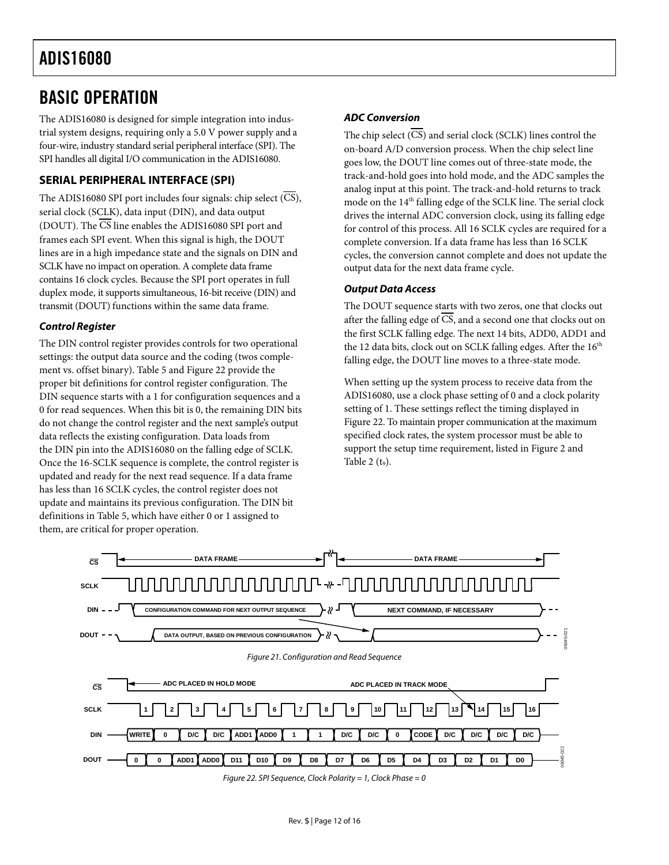### <span id="page-11-0"></span>BASIC OPERATION

The ADIS16080 is designed for simple integration into industrial system designs, requiring only a 5.0 V power supply and a four-wire, industry standard serial peripheral interface (SPI). The SPI handles all digital I/O communication in the ADIS16080.

### **SERIAL PERIPHERAL INTERFACE (SPI)**

The ADIS16080 SPI port includes four signals: chip select (CS), serial clock (SCLK), data input (DIN), and data output (DOUT). The CS line enables the ADIS16080 SPI port and frames each SPI event. When this signal is high, the DOUT lines are in a high impedance state and the signals on DIN and SCLK have no impact on operation. A complete data frame contains 16 clock cycles. Because the SPI port operates in full duplex mode, it supports simultaneous, 16-bit receive (DIN) and transmit (DOUT) functions within the same data frame.

### **Control Register**

The DIN control register provides controls for two operational settings: the output data source and the coding (twos complement vs. offset binary). [Table 5](#page-12-0) and [Figure 22](#page-11-1) provide the proper bit definitions for control register configuration. The DIN sequence starts with a 1 for configuration sequences and a 0 for read sequences. When this bit is 0, the remaining DIN bits do not change the control register and the next sample's output data reflects the existing configuration. Data loads from the DIN pin into the ADIS16080 on the falling edge of SCLK. Once the 16-SCLK sequence is complete, the control register is updated and ready for the next read sequence. If a data frame has less than 16 SCLK cycles, the control register does not update and maintains its previous configuration. The DIN bit definitions in [Table 5](#page-12-0), which have either 0 or 1 assigned to them, are critical for proper operation.

### **ADC Conversion**

The chip select (CS) and serial clock (SCLK) lines control the on-board A/D conversion process. When the chip select line goes low, the DOUT line comes out of three-state mode, the track-and-hold goes into hold mode, and the ADC samples the analog input at this point. The track-and-hold returns to track mode on the 14<sup>th</sup> falling edge of the SCLK line. The serial clock drives the internal ADC conversion clock, using its falling edge for control of this process. All 16 SCLK cycles are required for a complete conversion. If a data frame has less than 16 SCLK cycles, the conversion cannot complete and does not update the output data for the next data frame cycle.

### **Output Data Access**

The DOUT sequence starts with two zeros, one that clocks out after the falling edge of CS, and a second one that clocks out on the first SCLK falling edge. The next 14 bits, ADD0, ADD1 and the 12 data bits, clock out on SCLK falling edges. After the 16<sup>th</sup> falling edge, the DOUT line moves to a three-state mode.

When setting up the system process to receive data from the ADIS16080, use a clock phase setting of 0 and a clock polarity setting of 1. These settings reflect the timing displayed in [Figure 22](#page-11-1). To maintain proper communication at the maximum specified clock rates, the system processor must be able to support the setup time requirement, listed in [Figure 2](#page-4-2) and Table  $2(t_9)$ .

<span id="page-11-1"></span>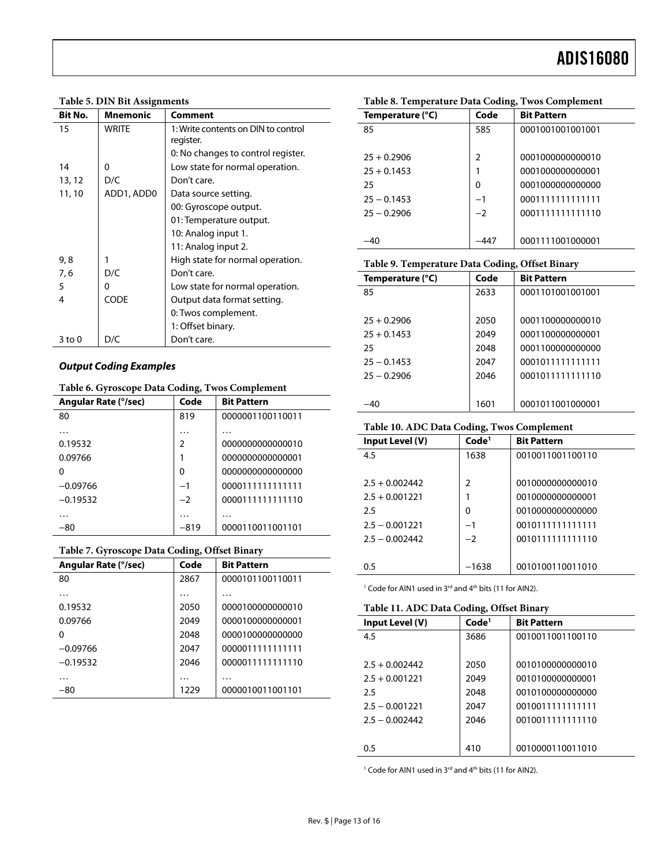#### **Table 5. DIN Bit Assignments**

<span id="page-12-0"></span>

| <b>Bit No.</b> | <b>Mnemonic</b> | Comment                             |
|----------------|-----------------|-------------------------------------|
| 15             | <b>WRITE</b>    | 1: Write contents on DIN to control |
|                |                 | register.                           |
|                |                 | 0: No changes to control register.  |
| 14             | 0               | Low state for normal operation.     |
| 13, 12         | D/C             | Don't care.                         |
| 11, 10         | ADD1, ADD0      | Data source setting.                |
|                |                 | 00: Gyroscope output.               |
|                |                 | 01: Temperature output.             |
|                |                 | 10: Analog input 1.                 |
|                |                 | 11: Analog input 2.                 |
| 9, 8           |                 | High state for normal operation.    |
| 7,6            | D/C             | Don't care.                         |
| 5              | 0               | Low state for normal operation.     |
| 4              | <b>CODE</b>     | Output data format setting.         |
|                |                 | 0: Twos complement.                 |
|                |                 | 1: Offset binary.                   |
| $3$ to $0$     | D/C             | Don't care.                         |

### **Output Coding Examples**

#### **Table 6. Gyroscope Data Coding, Twos Complement**

| <b>Angular Rate (°/sec)</b> | Code          | <b>Bit Pattern</b> |
|-----------------------------|---------------|--------------------|
| 80                          | 819           | 0000001100110011   |
|                             | .             |                    |
| 0.19532                     | $\mathcal{P}$ | 0000000000000010   |
| 0.09766                     |               | 000000000000001    |
| 0                           | 0             | 0000000000000000   |
| $-0.09766$                  | $-1$          | 0000111111111111   |
| $-0.19532$                  | $-2$          | 0000111111111110   |
|                             |               |                    |
| $-80$                       | $-819$        | 0000110011001101   |

#### **Table 7. Gyroscope Data Coding, Offset Binary**

| <b>Angular Rate (°/sec)</b> | Code | <b>Bit Pattern</b> |
|-----------------------------|------|--------------------|
| 80                          | 2867 | 0000101100110011   |
| .                           | .    | .                  |
| 0.19532                     | 2050 | 0000100000000010   |
| 0.09766                     | 2049 | 0000100000000001   |
| 0                           | 2048 | 0000100000000000   |
| $-0.09766$                  | 2047 | 0000011111111111   |
| $-0.19532$                  | 2046 | 0000011111111110   |
| .                           | .    | .                  |
| $-80$                       | 1229 | 0000010011001101   |

#### **Table 8. Temperature Data Coding, Twos Complement**

| Temperature (°C) | Code | <b>Bit Pattern</b> |  |
|------------------|------|--------------------|--|
| 85               | 585  | 0001001001001001   |  |
|                  |      |                    |  |
| $25 + 0.2906$    | 2    | 0001000000000010   |  |
| $75 + 0.1453$    |      | 0001000000000001   |  |
| 25               | 0    | 0001000000000000   |  |
| $25 - 0.1453$    | $-1$ | 0001111111111111   |  |
| $25 - 0.2906$    | $-2$ | 0001111111111110   |  |
|                  |      |                    |  |
| -40              | -447 | 0001111001000001   |  |

#### **Table 9. Temperature Data Coding, Offset Binary**

| Temperature (°C) | Code | <b>Bit Pattern</b> |
|------------------|------|--------------------|
| 85               | 2633 | 0001101001001001   |
|                  |      |                    |
| $75 + 0.2906$    | 2050 | 0001100000000010   |
| $75 + 0.1453$    | 2049 | 0001100000000001   |
| 25               | 2048 | 0001100000000000   |
| $25 - 0.1453$    | 2047 | 0001011111111111   |
| $25 - 0.2906$    | 2046 | 0001011111111110   |
|                  |      |                    |
|                  | 1601 | 0001011001000001   |

#### **Table 10. ADC Data Coding, Twos Complement**

| Input Level (V)  | Code <sup>1</sup> | <b>Bit Pattern</b> |
|------------------|-------------------|--------------------|
| 4.5              | 1638              | 0010011001100110   |
|                  |                   |                    |
| $2.5 + 0.002442$ | 2                 | 0010000000000010   |
| $2.5 + 0.001221$ |                   | 0010000000000001   |
| 2.5              | 0                 | 0010000000000000   |
| $2.5 - 0.001221$ | $-1$              | 0010111111111111   |
| $2.5 - 0.002442$ | $-2$              | 0010111111111110   |
|                  |                   |                    |
| 0.5              | $-1638$           | 0010100110011010   |

<sup>1</sup> Code for AIN1 used in 3<sup>rd</sup> and 4<sup>th</sup> bits (11 for AIN2).

#### **Table 11. ADC Data Coding, Offset Binary**

| Input Level (V)  | Code <sup>1</sup><br><b>Bit Pattern</b> |                  |
|------------------|-----------------------------------------|------------------|
| 4.5              | 3686                                    | 0010011001100110 |
|                  |                                         |                  |
| $2.5 + 0.002442$ | 2050                                    | 0010100000000010 |
| $2.5 + 0.001221$ | 2049                                    | 0010100000000001 |
| 2.5              | 2048                                    | 0010100000000000 |
| $2.5 - 0.001221$ | 2047                                    | 0010011111111111 |
| $2.5 - 0.002442$ | 2046                                    | 0010011111111110 |
|                  |                                         |                  |
| 0.5              | 410                                     | 0010000110011010 |

<sup>1</sup> Code for AIN1 used in 3<sup>rd</sup> and 4<sup>th</sup> bits (11 for AIN2).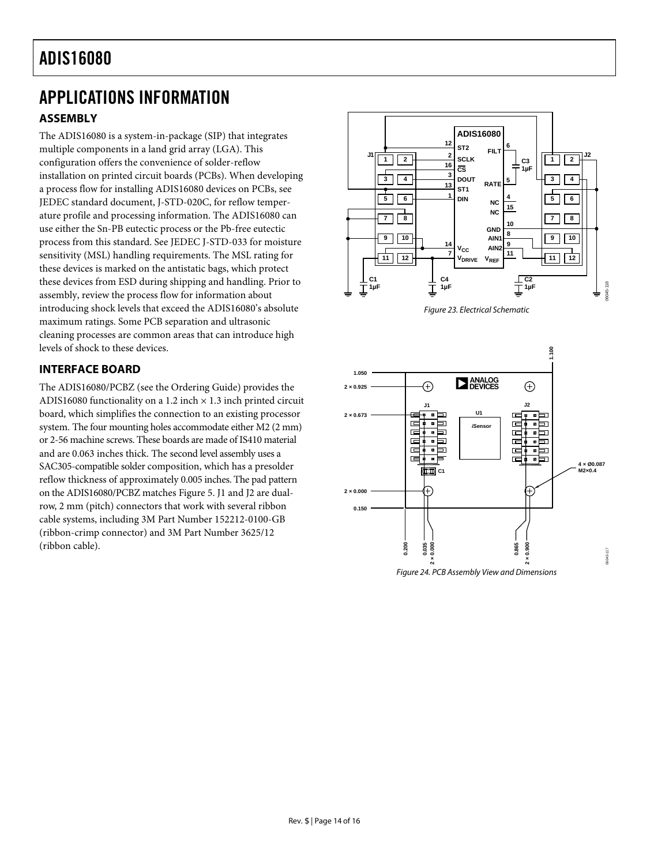### <span id="page-13-0"></span>APPLICATIONS INFORMATION **ASSEMBLY**

The ADIS16080 is a system-in-package (SIP) that integrates multiple components in a land grid array (LGA). This configuration offers the convenience of solder-reflow installation on printed circuit boards (PCBs). When developing a process flow for installing ADIS16080 devices on PCBs, see JEDEC standard document, J-STD-020C, for reflow temperature profile and processing information. The ADIS16080 can use either the Sn-PB eutectic process or the Pb-free eutectic process from this standard. See JEDEC J-STD-033 for moisture sensitivity (MSL) handling requirements. The MSL rating for these devices is marked on the antistatic bags, which protect these devices from ESD during shipping and handling. Prior to assembly, review the process flow for information about introducing shock levels that exceed the ADIS16080's absolute maximum ratings. Some PCB separation and ultrasonic cleaning processes are common areas that can introduce high levels of shock to these devices.

### **INTERFACE BOARD**

The ADIS16080/PCBZ (see the [Ordering Guide](#page-14-1)) provides the ADIS16080 functionality on a 1.2 inch  $\times$  1.3 inch printed circuit board, which simplifies the connection to an existing processor system. The four mounting holes accommodate either M2 (2 mm) or 2-56 machine screws. These boards are made of IS410 material and are 0.063 inches thick. The second level assembly uses a SAC305-compatible solder composition, which has a presolder reflow thickness of approximately 0.005 inches. The pad pattern on the ADIS16080/PCBZ matches [Figure 5](#page-6-1). J1 and J2 are dualrow, 2 mm (pitch) connectors that work with several ribbon cable systems, including 3M Part Number 152212-0100-GB (ribbon-crimp connector) and 3M Part Number 3625/12 (ribbon cable).



Figure 23. Electrical Schematic

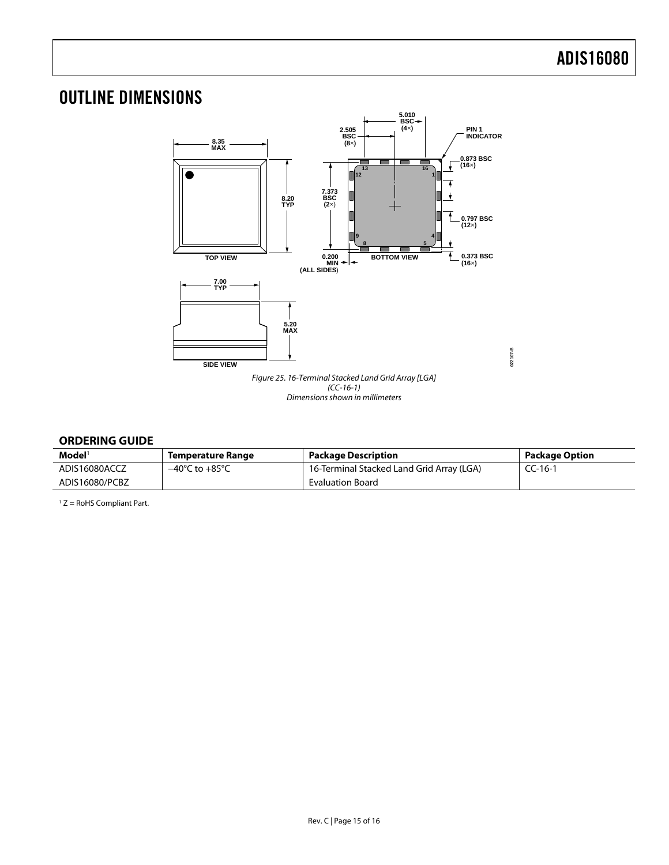# <span id="page-14-0"></span>OUTLINE DIMENSIONS



### **ORDERING GUIDE**

<span id="page-14-2"></span><span id="page-14-1"></span>

| $\mathbf{Model}^1$ | Temperature Range                  | <b>Package Description</b>                | Package Option |
|--------------------|------------------------------------|-------------------------------------------|----------------|
| ADIS16080ACCZ      | $-40^{\circ}$ C to $+85^{\circ}$ C | 16-Terminal Stacked Land Grid Array (LGA) | CC-16-1        |
| ADIS16080/PCBZ     |                                    | <b>Evaluation Board</b>                   |                |

 $1 Z =$  RoHS Compliant Part.